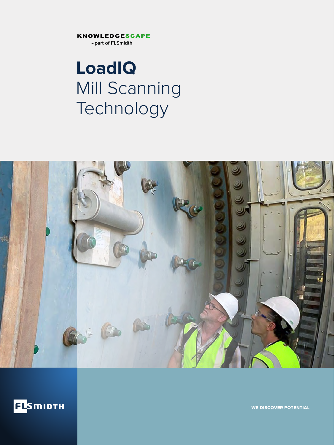**KNOWLEDGESCAPE** 

- part of FLSmidth

## **LoadIQ** Mill Scanning Technology





WE DISCOVER POTENTIAL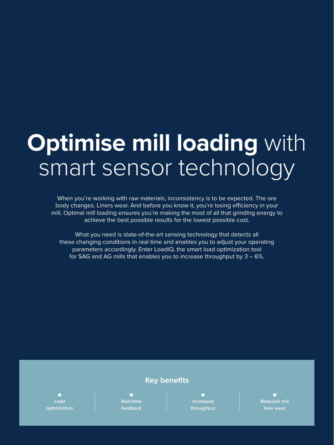# **Optimise mill loading** with smart sensor technology

When you're working with raw materials, inconsistency is to be expected. The ore body changes. Liners wear. And before you know it, you're losing efficiency in your mill. Optimal mill loading ensures you're making the most of all that grinding energy to achieve the best possible results for the lowest possible cost.

What you need is state-of-the-art sensing technology that detects all these changing conditions in real time and enables you to adjust your operating parameters accordingly. Enter LoadIQ, the smart load optimization tool for SAG and AG mills that enables you to increase throughput by 3 – 6%.

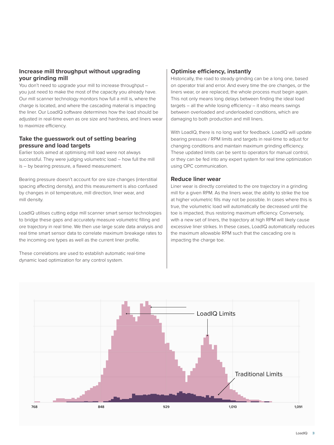#### **Increase mill throughput without upgrading your grinding mill**

You don't need to upgrade your mill to increase throughput – you just need to make the most of the capacity you already have. Our mill scanner technology monitors how full a mill is, where the charge is located, and where the cascading material is impacting the liner. Our LoadIQ software determines how the load should be adjusted in real-time even as ore size and hardness, and liners wear to maximize efficiency.

#### **Take the guesswork out of setting bearing pressure and load targets**

Earlier tools aimed at optimising mill load were not always successful. They were judging volumetric load – how full the mill is – by bearing pressure, a flawed measurement.

Bearing pressure doesn't account for ore size changes (interstitial spacing affecting density), and this measurement is also confused by changes in oil temperature, mill direction, liner wear, and mill density.

LoadIQ utilises cutting edge mill scanner smart sensor technologies to bridge these gaps and accurately measure volumetric filling and ore trajectory in real time. We then use large scale data analysis and real time smart sensor data to correlate maximum breakage rates to the incoming ore types as well as the current liner profile.

These correlations are used to establish automatic real-time dynamic load optimization for any control system.

#### **Optimise efficiency, instantly**

Historically, the road to steady grinding can be a long one, based on operator trial and error. And every time the ore changes, or the liners wear, or are replaced, the whole process must begin again. This not only means long delays between finding the ideal load  $t$ argets – all the while losing efficiency – it also means swings between overloaded and underloaded conditions, which are damaging to both production and mill liners.

With LoadIQ, there is no long wait for feedback. LoadIQ will update bearing pressure / RPM limits and targets in real-time to adjust for changing conditions and maintain maximum grinding efficiency. These updated limits can be sent to operators for manual control, or they can be fed into any expert system for real time optimization using OPC communication.

#### **Reduce liner wear**

Liner wear is directly correlated to the ore trajectory in a grinding mill for a given RPM. As the liners wear, the ability to strike the toe at higher volumetric fills may not be possible. In cases where this is true, the volumetric load will automatically be decreased until the toe is impacted, thus restoring maximum efficiency. Conversely, with a new set of liners, the trajectory at high RPM will likely cause excessive liner strikes. In these cases, LoadIQ automatically reduces the maximum allowable RPM such that the cascading ore is impacting the charge toe.

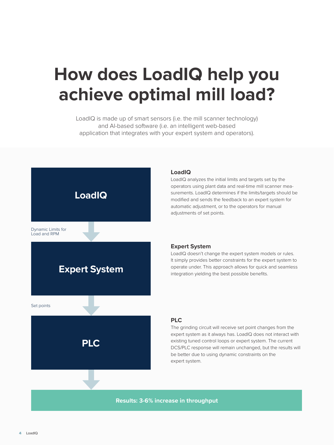## **How does LoadIQ help you achieve optimal mill load?**

LoadIQ is made up of smart sensors (i.e. the mill scanner technology) and AI-based software (i.e. an intelligent web-based application that integrates with your expert system and operators).



#### **LoadIQ**

LoadIQ analyzes the initial limits and targets set by the operators using plant data and real-time mill scanner measurements. LoadIQ determines if the limits/targets should be modified and sends the feedback to an expert system for automatic adjustment, or to the operators for manual adjustments of set points.

#### **Expert System**

LoadIQ doesn't change the expert system models or rules. It simply provides better constraints for the expert system to operate under. This approach allows for quick and seamless integration yielding the best possible benefits.

#### **PLC**

The grinding circuit will receive set point changes from the expert system as it always has. LoadIQ does not interact with existing tuned control loops or expert system. The current DCS/PLC response will remain unchanged, but the results will be better due to using dynamic constraints on the expert system.

**Results: 3-6% increase in throughput**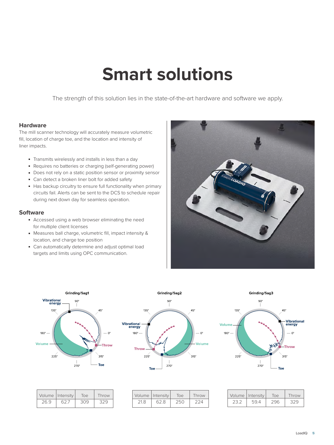### **Smart solutions**

The strength of this solution lies in the state-of-the-art hardware and software we apply.

#### **Hardware**

The mill scanner technology will accurately measure volumetric fill, location of charge toe, and the location and intensity of liner impacts.

- Transmits wirelessly and installs in less than a day
- Requires no batteries or charging (self-generating power)
- Does not rely on a static position sensor or proximity sensor
- Can detect a broken liner bolt for added safety
- Has backup circuitry to ensure full functionality when primary circuits fail. Alerts can be sent to the DCS to schedule repair during next down day for seamless operation.

#### **Software**

- Accessed using a web browser eliminating the need for multiple client licenses
- Measures ball charge, volumetric fill, impact intensity & location, and charge toe position
- Can automatically determine and adjust optimal load targets and limits using OPC communication.





|      | Volume   Intensity | Toe | Throw |
|------|--------------------|-----|-------|
| 26.9 | 627                | 309 | -320  |



Grinding/Sag2

|     | Volume   Intensity | Toe | Throw |
|-----|--------------------|-----|-------|
| 218 | 62.8               | フらい |       |



|      | Volume   Intensity | Toe: | Throw |
|------|--------------------|------|-------|
| 23 2 | 59.4               | 296  | 329   |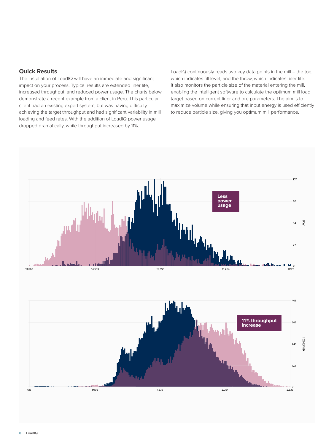#### **Quick Results**

The installation of LoadIQ will have an immediate and significant impact on your process. Typical results are extended liner life, increased throughput, and reduced power usage. The charts below demonstrate a recent example from a client in Peru. This particular client had an existing expert system, but was having difficulty achieving the target throughput and had significant variability in mill loading and feed rates. With the addition of LoadIQ power usage dropped dramatically, while throughput increased by 11%.

LoadIQ continuously reads two key data points in the mill – the toe, which indicates fill level, and the throw, which indicates liner life. It also monitors the particle size of the material entering the mill, enabling the intelligent software to calculate the optimum mill load target based on current liner and ore parameters. The aim is to maximize volume while ensuring that input energy is used efficiently to reduce particle size, giving you optimum mill performance.

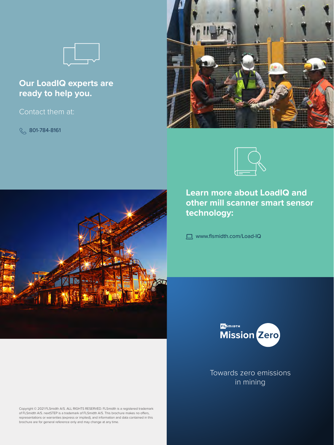

### **Our LoadIQ experts are ready to help you.**

Contact them at:

 $\%$  801-784-8161





**Learn more about LoadIQ and other mill scanner smart sensor technology:**

www.flsmidth.com/Load-IQ





Towards zero emissions in mining

Copyright © 2021 FLSmidth A/S. ALL RIGHTS RESERVED. FLSmidth is a registered trademark of FLSmidth A/S. nextSTEP is a trademark of FLSmidth A/S. This brochure makes no offers, representations or warranties (express or implied), and information and data contained in this brochure are for general reference only and may change at any time.